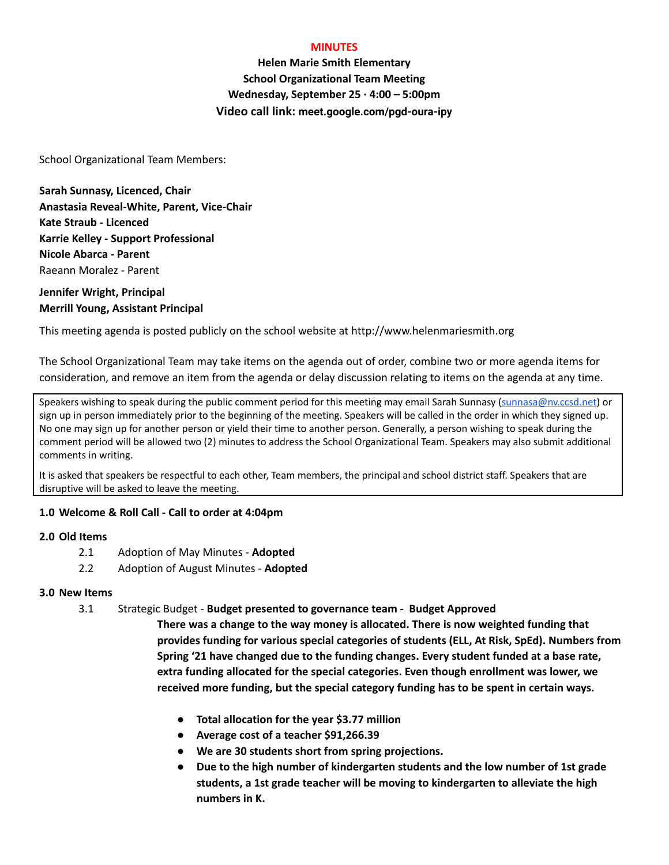#### **MINUTES**

**Helen Marie Smith Elementary School Organizational Team Meeting Wednesday, September 25 · 4:00 – 5:00pm Video call link: meet.google.com/pgd-oura-ipy**

School Organizational Team Members:

**Sarah Sunnasy, Licenced, Chair Anastasia Reveal-White, Parent, Vice-Chair Kate Straub - Licenced Karrie Kelley - Support Professional Nicole Abarca - Parent** Raeann Moralez - Parent

# **Jennifer Wright, Principal Merrill Young, Assistant Principal**

This meeting agenda is posted publicly on the school website at http://www.helenmariesmith.org

The School Organizational Team may take items on the agenda out of order, combine two or more agenda items for consideration, and remove an item from the agenda or delay discussion relating to items on the agenda at any time.

Speakers wishing to speak during the public comment period for this meeting may email Sarah Sunnasy [\(sunnasa@nv.ccsd.net](mailto:sunnasa@nv.ccsd.net)) or sign up in person immediately prior to the beginning of the meeting. Speakers will be called in the order in which they signed up. No one may sign up for another person or yield their time to another person. Generally, a person wishing to speak during the comment period will be allowed two (2) minutes to address the School Organizational Team. Speakers may also submit additional comments in writing.

It is asked that speakers be respectful to each other, Team members, the principal and school district staff. Speakers that are disruptive will be asked to leave the meeting.

## **1.0 Welcome & Roll Call - Call to order at 4:04pm**

## **2.0 Old Items**

- 2.1 Adoption of May Minutes **Adopted**
- 2.2 Adoption of August Minutes **Adopted**

#### **3.0 New Items**

3.1 Strategic Budget - **Budget presented to governance team - Budget Approved**

**There was a change to the way money is allocated. There is now weighted funding that provides funding for various special categories of students (ELL, At Risk, SpEd). Numbers from Spring '21 have changed due to the funding changes. Every student funded at a base rate, extra funding allocated for the special categories. Even though enrollment was lower, we received more funding, but the special category funding has to be spent in certain ways.**

- **● Total allocation for the year \$3.77 million**
- **● Average cost of a teacher \$91,266.39**
- **● We are 30 students short from spring projections.**
- **● Due to the high number of kindergarten students and the low number of 1st grade students, a 1st grade teacher will be moving to kindergarten to alleviate the high numbers in K.**